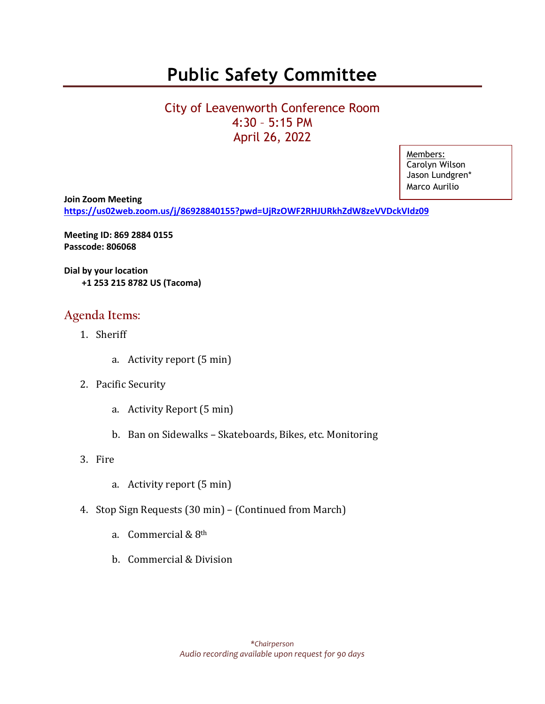## **Public Safety Committee**

## City of Leavenworth Conference Room 4:30 – 5:15 PM April 26, 2022

Members: Carolyn Wilson Jason Lundgren\* Marco Aurilio

**Join Zoom Meeting <https://us02web.zoom.us/j/86928840155?pwd=UjRzOWF2RHJURkhZdW8zeVVDckVIdz09>** Mar

**Meeting ID: 869 2884 0155 Passcode: 806068**

**Dial by your location +1 253 215 8782 US (Tacoma)**

### **Agenda Items:**

- 1. Sheriff
	- a. Activity report (5 min)
- 2. Pacific Security
	- a. Activity Report (5 min)
	- b. Ban on Sidewalks Skateboards, Bikes, etc. Monitoring
- 3. Fire
	- a. Activity report (5 min)
- 4. Stop Sign Requests (30 min) (Continued from March)
	- a. Commercial & 8th
	- b. Commercial & Division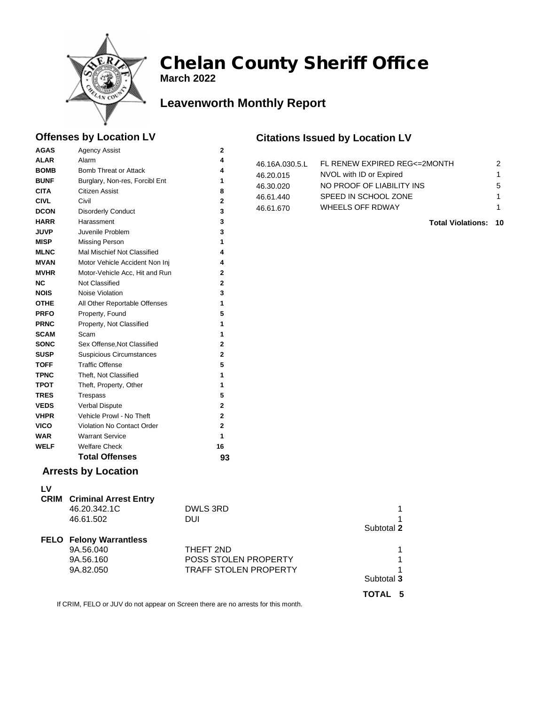

# Chelan County Sheriff Office

**March 2022**

## **Leavenworth Monthly Report**

### **Offenses by Location LV**

#### **Citations Issued by Location LV**

| <b>ALAR</b><br>4<br>Alarm<br>FL RENEW EXPIRED REG<=2MONTH<br>2<br>46.16A.030.5.L<br><b>BOMB</b><br>4<br>Bomb Threat or Attack<br>NVOL with ID or Expired<br>1<br>46.20.015<br><b>BUNF</b><br>Burglary, Non-res, Forcibl Ent<br>1<br>5<br>NO PROOF OF LIABILITY INS<br>46.30.020<br><b>CITA</b><br>Citizen Assist<br>8<br>SPEED IN SCHOOL ZONE<br>46.61.440<br>1<br>Civil<br>$\mathbf 2$<br><b>CIVL</b><br>WHEELS OFF RDWAY<br>46.61.670<br>1<br>3<br><b>DCON</b><br><b>Disorderly Conduct</b><br><b>HARR</b><br>3<br>Harassment<br><b>Total Violations: 10</b><br>3<br><b>JUVP</b><br>Juvenile Problem<br><b>MISP</b><br>1<br><b>Missing Person</b><br>4<br><b>MLNC</b><br>Mal Mischief Not Classified<br><b>MVAN</b><br>4<br>Motor Vehicle Accident Non Inj<br><b>MVHR</b><br>$\mathbf 2$<br>Motor-Vehicle Acc, Hit and Run<br>Not Classified<br>$\overline{2}$<br><b>NC</b><br>3<br><b>NOIS</b><br>Noise Violation<br>1<br><b>OTHE</b><br>All Other Reportable Offenses<br>5<br><b>PRFO</b><br>Property, Found<br><b>PRNC</b><br>Property, Not Classified<br>1<br><b>SCAM</b><br>1<br>Scam<br>$\mathbf 2$<br><b>SONC</b><br>Sex Offense, Not Classified<br>$\overline{\mathbf{2}}$<br><b>SUSP</b><br><b>Suspicious Circumstances</b><br>5<br><b>Traffic Offense</b><br><b>TOFF</b><br><b>TPNC</b><br>Theft, Not Classified<br>1<br><b>TPOT</b><br>Theft, Property, Other<br>1<br>5<br><b>TRES</b><br>Trespass<br>$\mathbf 2$<br><b>VEDS</b><br>Verbal Dispute<br>$\mathbf 2$<br><b>VHPR</b><br>Vehicle Prowl - No Theft<br>$\overline{2}$<br><b>VICO</b><br>Violation No Contact Order<br>1<br><b>WAR</b><br><b>Warrant Service</b><br><b>WELF</b><br><b>Welfare Check</b><br>16<br><b>Total Offenses</b><br>93<br><b>Arrests by Location</b><br>LV<br><b>CRIM</b> Criminal Arrest Entry<br>DWLS 3RD<br>46.20.342.1C<br>1<br><b>DUI</b><br>46.61.502<br>1<br>Subtotal 2<br><b>FELO Felony Warrantless</b><br>9A.56.040<br>THEFT 2ND<br>1<br>9A.56.160<br>POSS STOLEN PROPERTY<br>1<br><b>TRAFF STOLEN PROPERTY</b> | <b>AGAS</b> | <b>Agency Assist</b> | $\mathbf{2}$ |  |  |  |  |
|----------------------------------------------------------------------------------------------------------------------------------------------------------------------------------------------------------------------------------------------------------------------------------------------------------------------------------------------------------------------------------------------------------------------------------------------------------------------------------------------------------------------------------------------------------------------------------------------------------------------------------------------------------------------------------------------------------------------------------------------------------------------------------------------------------------------------------------------------------------------------------------------------------------------------------------------------------------------------------------------------------------------------------------------------------------------------------------------------------------------------------------------------------------------------------------------------------------------------------------------------------------------------------------------------------------------------------------------------------------------------------------------------------------------------------------------------------------------------------------------------------------------------------------------------------------------------------------------------------------------------------------------------------------------------------------------------------------------------------------------------------------------------------------------------------------------------------------------------------------------------------------------------------------------------------------------------------------------------------------------------------------------|-------------|----------------------|--------------|--|--|--|--|
|                                                                                                                                                                                                                                                                                                                                                                                                                                                                                                                                                                                                                                                                                                                                                                                                                                                                                                                                                                                                                                                                                                                                                                                                                                                                                                                                                                                                                                                                                                                                                                                                                                                                                                                                                                                                                                                                                                                                                                                                                      |             |                      |              |  |  |  |  |
|                                                                                                                                                                                                                                                                                                                                                                                                                                                                                                                                                                                                                                                                                                                                                                                                                                                                                                                                                                                                                                                                                                                                                                                                                                                                                                                                                                                                                                                                                                                                                                                                                                                                                                                                                                                                                                                                                                                                                                                                                      |             |                      |              |  |  |  |  |
|                                                                                                                                                                                                                                                                                                                                                                                                                                                                                                                                                                                                                                                                                                                                                                                                                                                                                                                                                                                                                                                                                                                                                                                                                                                                                                                                                                                                                                                                                                                                                                                                                                                                                                                                                                                                                                                                                                                                                                                                                      |             |                      |              |  |  |  |  |
|                                                                                                                                                                                                                                                                                                                                                                                                                                                                                                                                                                                                                                                                                                                                                                                                                                                                                                                                                                                                                                                                                                                                                                                                                                                                                                                                                                                                                                                                                                                                                                                                                                                                                                                                                                                                                                                                                                                                                                                                                      |             |                      |              |  |  |  |  |
|                                                                                                                                                                                                                                                                                                                                                                                                                                                                                                                                                                                                                                                                                                                                                                                                                                                                                                                                                                                                                                                                                                                                                                                                                                                                                                                                                                                                                                                                                                                                                                                                                                                                                                                                                                                                                                                                                                                                                                                                                      |             |                      |              |  |  |  |  |
|                                                                                                                                                                                                                                                                                                                                                                                                                                                                                                                                                                                                                                                                                                                                                                                                                                                                                                                                                                                                                                                                                                                                                                                                                                                                                                                                                                                                                                                                                                                                                                                                                                                                                                                                                                                                                                                                                                                                                                                                                      |             |                      |              |  |  |  |  |
|                                                                                                                                                                                                                                                                                                                                                                                                                                                                                                                                                                                                                                                                                                                                                                                                                                                                                                                                                                                                                                                                                                                                                                                                                                                                                                                                                                                                                                                                                                                                                                                                                                                                                                                                                                                                                                                                                                                                                                                                                      |             |                      |              |  |  |  |  |
|                                                                                                                                                                                                                                                                                                                                                                                                                                                                                                                                                                                                                                                                                                                                                                                                                                                                                                                                                                                                                                                                                                                                                                                                                                                                                                                                                                                                                                                                                                                                                                                                                                                                                                                                                                                                                                                                                                                                                                                                                      |             |                      |              |  |  |  |  |
|                                                                                                                                                                                                                                                                                                                                                                                                                                                                                                                                                                                                                                                                                                                                                                                                                                                                                                                                                                                                                                                                                                                                                                                                                                                                                                                                                                                                                                                                                                                                                                                                                                                                                                                                                                                                                                                                                                                                                                                                                      |             |                      |              |  |  |  |  |
|                                                                                                                                                                                                                                                                                                                                                                                                                                                                                                                                                                                                                                                                                                                                                                                                                                                                                                                                                                                                                                                                                                                                                                                                                                                                                                                                                                                                                                                                                                                                                                                                                                                                                                                                                                                                                                                                                                                                                                                                                      |             |                      |              |  |  |  |  |
|                                                                                                                                                                                                                                                                                                                                                                                                                                                                                                                                                                                                                                                                                                                                                                                                                                                                                                                                                                                                                                                                                                                                                                                                                                                                                                                                                                                                                                                                                                                                                                                                                                                                                                                                                                                                                                                                                                                                                                                                                      |             |                      |              |  |  |  |  |
|                                                                                                                                                                                                                                                                                                                                                                                                                                                                                                                                                                                                                                                                                                                                                                                                                                                                                                                                                                                                                                                                                                                                                                                                                                                                                                                                                                                                                                                                                                                                                                                                                                                                                                                                                                                                                                                                                                                                                                                                                      |             |                      |              |  |  |  |  |
|                                                                                                                                                                                                                                                                                                                                                                                                                                                                                                                                                                                                                                                                                                                                                                                                                                                                                                                                                                                                                                                                                                                                                                                                                                                                                                                                                                                                                                                                                                                                                                                                                                                                                                                                                                                                                                                                                                                                                                                                                      |             |                      |              |  |  |  |  |
|                                                                                                                                                                                                                                                                                                                                                                                                                                                                                                                                                                                                                                                                                                                                                                                                                                                                                                                                                                                                                                                                                                                                                                                                                                                                                                                                                                                                                                                                                                                                                                                                                                                                                                                                                                                                                                                                                                                                                                                                                      |             |                      |              |  |  |  |  |
|                                                                                                                                                                                                                                                                                                                                                                                                                                                                                                                                                                                                                                                                                                                                                                                                                                                                                                                                                                                                                                                                                                                                                                                                                                                                                                                                                                                                                                                                                                                                                                                                                                                                                                                                                                                                                                                                                                                                                                                                                      |             |                      |              |  |  |  |  |
|                                                                                                                                                                                                                                                                                                                                                                                                                                                                                                                                                                                                                                                                                                                                                                                                                                                                                                                                                                                                                                                                                                                                                                                                                                                                                                                                                                                                                                                                                                                                                                                                                                                                                                                                                                                                                                                                                                                                                                                                                      |             |                      |              |  |  |  |  |
|                                                                                                                                                                                                                                                                                                                                                                                                                                                                                                                                                                                                                                                                                                                                                                                                                                                                                                                                                                                                                                                                                                                                                                                                                                                                                                                                                                                                                                                                                                                                                                                                                                                                                                                                                                                                                                                                                                                                                                                                                      |             |                      |              |  |  |  |  |
|                                                                                                                                                                                                                                                                                                                                                                                                                                                                                                                                                                                                                                                                                                                                                                                                                                                                                                                                                                                                                                                                                                                                                                                                                                                                                                                                                                                                                                                                                                                                                                                                                                                                                                                                                                                                                                                                                                                                                                                                                      |             |                      |              |  |  |  |  |
|                                                                                                                                                                                                                                                                                                                                                                                                                                                                                                                                                                                                                                                                                                                                                                                                                                                                                                                                                                                                                                                                                                                                                                                                                                                                                                                                                                                                                                                                                                                                                                                                                                                                                                                                                                                                                                                                                                                                                                                                                      |             |                      |              |  |  |  |  |
|                                                                                                                                                                                                                                                                                                                                                                                                                                                                                                                                                                                                                                                                                                                                                                                                                                                                                                                                                                                                                                                                                                                                                                                                                                                                                                                                                                                                                                                                                                                                                                                                                                                                                                                                                                                                                                                                                                                                                                                                                      |             |                      |              |  |  |  |  |
|                                                                                                                                                                                                                                                                                                                                                                                                                                                                                                                                                                                                                                                                                                                                                                                                                                                                                                                                                                                                                                                                                                                                                                                                                                                                                                                                                                                                                                                                                                                                                                                                                                                                                                                                                                                                                                                                                                                                                                                                                      |             |                      |              |  |  |  |  |
|                                                                                                                                                                                                                                                                                                                                                                                                                                                                                                                                                                                                                                                                                                                                                                                                                                                                                                                                                                                                                                                                                                                                                                                                                                                                                                                                                                                                                                                                                                                                                                                                                                                                                                                                                                                                                                                                                                                                                                                                                      |             |                      |              |  |  |  |  |
|                                                                                                                                                                                                                                                                                                                                                                                                                                                                                                                                                                                                                                                                                                                                                                                                                                                                                                                                                                                                                                                                                                                                                                                                                                                                                                                                                                                                                                                                                                                                                                                                                                                                                                                                                                                                                                                                                                                                                                                                                      |             |                      |              |  |  |  |  |
|                                                                                                                                                                                                                                                                                                                                                                                                                                                                                                                                                                                                                                                                                                                                                                                                                                                                                                                                                                                                                                                                                                                                                                                                                                                                                                                                                                                                                                                                                                                                                                                                                                                                                                                                                                                                                                                                                                                                                                                                                      |             |                      |              |  |  |  |  |
|                                                                                                                                                                                                                                                                                                                                                                                                                                                                                                                                                                                                                                                                                                                                                                                                                                                                                                                                                                                                                                                                                                                                                                                                                                                                                                                                                                                                                                                                                                                                                                                                                                                                                                                                                                                                                                                                                                                                                                                                                      |             |                      |              |  |  |  |  |
|                                                                                                                                                                                                                                                                                                                                                                                                                                                                                                                                                                                                                                                                                                                                                                                                                                                                                                                                                                                                                                                                                                                                                                                                                                                                                                                                                                                                                                                                                                                                                                                                                                                                                                                                                                                                                                                                                                                                                                                                                      |             |                      |              |  |  |  |  |
|                                                                                                                                                                                                                                                                                                                                                                                                                                                                                                                                                                                                                                                                                                                                                                                                                                                                                                                                                                                                                                                                                                                                                                                                                                                                                                                                                                                                                                                                                                                                                                                                                                                                                                                                                                                                                                                                                                                                                                                                                      |             |                      |              |  |  |  |  |
|                                                                                                                                                                                                                                                                                                                                                                                                                                                                                                                                                                                                                                                                                                                                                                                                                                                                                                                                                                                                                                                                                                                                                                                                                                                                                                                                                                                                                                                                                                                                                                                                                                                                                                                                                                                                                                                                                                                                                                                                                      |             |                      |              |  |  |  |  |
|                                                                                                                                                                                                                                                                                                                                                                                                                                                                                                                                                                                                                                                                                                                                                                                                                                                                                                                                                                                                                                                                                                                                                                                                                                                                                                                                                                                                                                                                                                                                                                                                                                                                                                                                                                                                                                                                                                                                                                                                                      |             |                      |              |  |  |  |  |
|                                                                                                                                                                                                                                                                                                                                                                                                                                                                                                                                                                                                                                                                                                                                                                                                                                                                                                                                                                                                                                                                                                                                                                                                                                                                                                                                                                                                                                                                                                                                                                                                                                                                                                                                                                                                                                                                                                                                                                                                                      |             |                      |              |  |  |  |  |
|                                                                                                                                                                                                                                                                                                                                                                                                                                                                                                                                                                                                                                                                                                                                                                                                                                                                                                                                                                                                                                                                                                                                                                                                                                                                                                                                                                                                                                                                                                                                                                                                                                                                                                                                                                                                                                                                                                                                                                                                                      |             |                      |              |  |  |  |  |
|                                                                                                                                                                                                                                                                                                                                                                                                                                                                                                                                                                                                                                                                                                                                                                                                                                                                                                                                                                                                                                                                                                                                                                                                                                                                                                                                                                                                                                                                                                                                                                                                                                                                                                                                                                                                                                                                                                                                                                                                                      |             |                      |              |  |  |  |  |
|                                                                                                                                                                                                                                                                                                                                                                                                                                                                                                                                                                                                                                                                                                                                                                                                                                                                                                                                                                                                                                                                                                                                                                                                                                                                                                                                                                                                                                                                                                                                                                                                                                                                                                                                                                                                                                                                                                                                                                                                                      |             |                      |              |  |  |  |  |
|                                                                                                                                                                                                                                                                                                                                                                                                                                                                                                                                                                                                                                                                                                                                                                                                                                                                                                                                                                                                                                                                                                                                                                                                                                                                                                                                                                                                                                                                                                                                                                                                                                                                                                                                                                                                                                                                                                                                                                                                                      |             |                      |              |  |  |  |  |
|                                                                                                                                                                                                                                                                                                                                                                                                                                                                                                                                                                                                                                                                                                                                                                                                                                                                                                                                                                                                                                                                                                                                                                                                                                                                                                                                                                                                                                                                                                                                                                                                                                                                                                                                                                                                                                                                                                                                                                                                                      |             |                      |              |  |  |  |  |
|                                                                                                                                                                                                                                                                                                                                                                                                                                                                                                                                                                                                                                                                                                                                                                                                                                                                                                                                                                                                                                                                                                                                                                                                                                                                                                                                                                                                                                                                                                                                                                                                                                                                                                                                                                                                                                                                                                                                                                                                                      |             |                      |              |  |  |  |  |
|                                                                                                                                                                                                                                                                                                                                                                                                                                                                                                                                                                                                                                                                                                                                                                                                                                                                                                                                                                                                                                                                                                                                                                                                                                                                                                                                                                                                                                                                                                                                                                                                                                                                                                                                                                                                                                                                                                                                                                                                                      |             |                      |              |  |  |  |  |
|                                                                                                                                                                                                                                                                                                                                                                                                                                                                                                                                                                                                                                                                                                                                                                                                                                                                                                                                                                                                                                                                                                                                                                                                                                                                                                                                                                                                                                                                                                                                                                                                                                                                                                                                                                                                                                                                                                                                                                                                                      |             |                      |              |  |  |  |  |
|                                                                                                                                                                                                                                                                                                                                                                                                                                                                                                                                                                                                                                                                                                                                                                                                                                                                                                                                                                                                                                                                                                                                                                                                                                                                                                                                                                                                                                                                                                                                                                                                                                                                                                                                                                                                                                                                                                                                                                                                                      |             |                      |              |  |  |  |  |
|                                                                                                                                                                                                                                                                                                                                                                                                                                                                                                                                                                                                                                                                                                                                                                                                                                                                                                                                                                                                                                                                                                                                                                                                                                                                                                                                                                                                                                                                                                                                                                                                                                                                                                                                                                                                                                                                                                                                                                                                                      |             | 9A.82.050            |              |  |  |  |  |
| Subtotal 3                                                                                                                                                                                                                                                                                                                                                                                                                                                                                                                                                                                                                                                                                                                                                                                                                                                                                                                                                                                                                                                                                                                                                                                                                                                                                                                                                                                                                                                                                                                                                                                                                                                                                                                                                                                                                                                                                                                                                                                                           |             |                      |              |  |  |  |  |
| TOTAL 5                                                                                                                                                                                                                                                                                                                                                                                                                                                                                                                                                                                                                                                                                                                                                                                                                                                                                                                                                                                                                                                                                                                                                                                                                                                                                                                                                                                                                                                                                                                                                                                                                                                                                                                                                                                                                                                                                                                                                                                                              |             |                      |              |  |  |  |  |

If CRIM, FELO or JUV do not appear on Screen there are no arrests for this month.